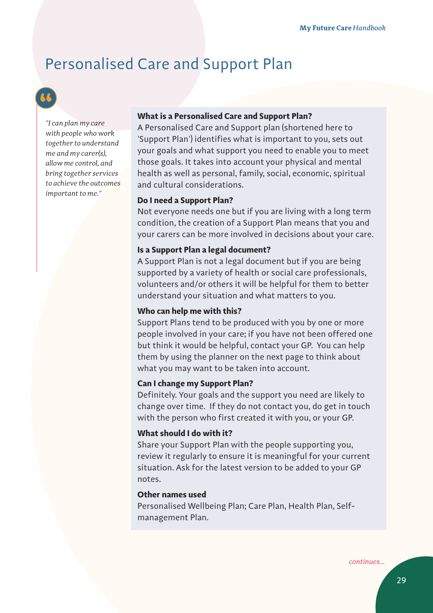# Personalised Care and Support Plan

*"I can plan my care with people who work together to understand me and my carer(s), allow me control, and bring together services to achieve the outcomes important to me."*

# **What is a Personalised Care and Support Plan?**

A Personalised Care and Support plan (shortened here to 'Support Plan') identifies what is important to you, sets out your goals and what support you need to enable you to meet those goals. It takes into account your physical and mental health as well as personal, family, social, economic, spiritual and cultural considerations.

# **Do I need a Support Plan?**

Not everyone needs one but if you are living with a long term condition, the creation of a Support Plan means that you and your carers can be more involved in decisions about your care.

# **Is a Support Plan a legal document?**

A Support Plan is not a legal document but if you are being supported by a variety of health or social care professionals, volunteers and/or others it will be helpful for them to better understand your situation and what matters to you.

# **Who can help me with this?**

Support Plans tend to be produced with you by one or more people involved in your care; if you have not been offered one but think it would be helpful, contact your GP. You can help them by using the planner on the next page to think about what you may want to be taken into account.

# **Can I change my Support Plan?**

Definitely. Your goals and the support you need are likely to change over time. If they do not contact you, do get in touch with the person who first created it with you, or your GP.

#### **What should I do with it?**

Share your Support Plan with the people supporting you, review it regularly to ensure it is meaningful for your current situation. Ask for the latest version to be added to your GP notes.

# **Other names used**

Personalised Wellbeing Plan; Care Plan, Health Plan, Selfmanagement Plan.